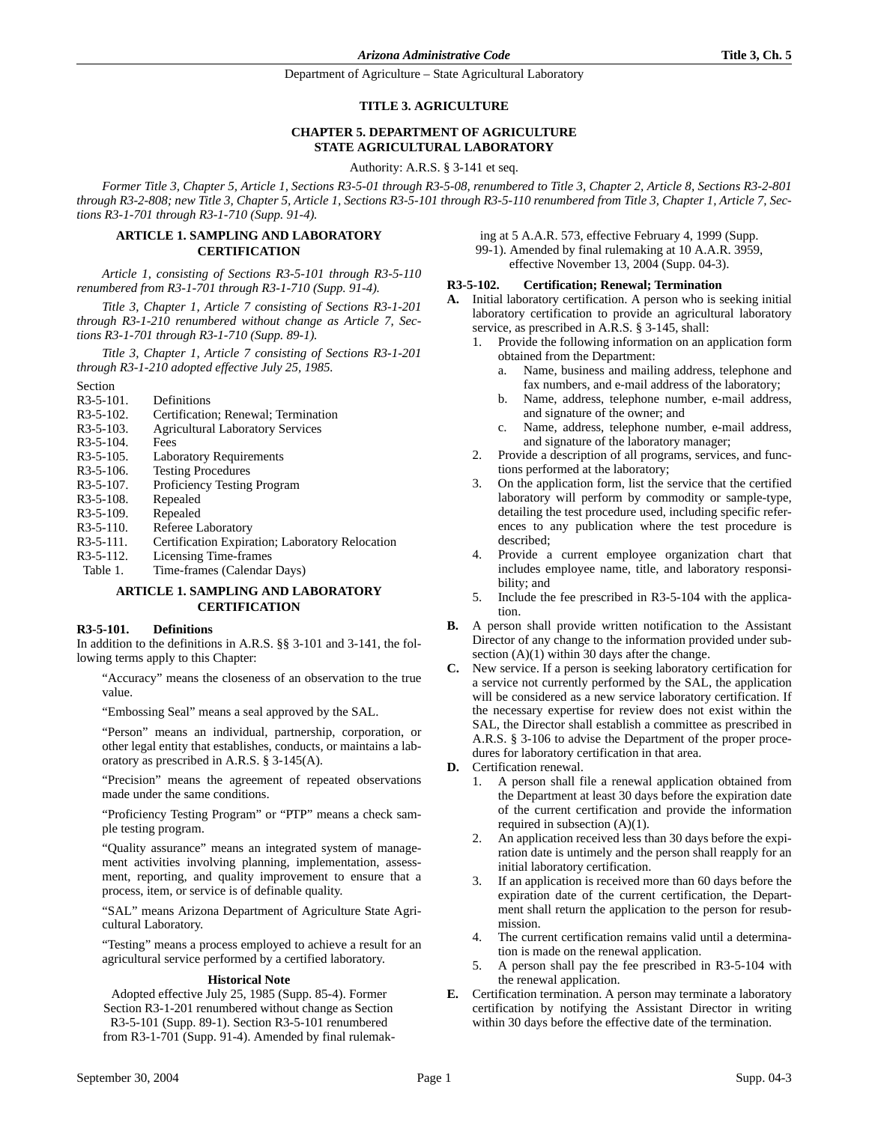#### **TITLE 3. AGRICULTURE**

### **CHAPTER 5. DEPARTMENT OF AGRICULTURE STATE AGRICULTURAL LABORATORY**

Authority: A.R.S. § 3-141 et seq.

*Former Title 3, Chapter 5, Article 1, Sections R3-5-01 through R3-5-08, renumbered to Title 3, Chapter 2, Article 8, Sections R3-2-801 through R3-2-808; new Title 3, Chapter 5, Article 1, Sections R3-5-101 through R3-5-110 renumbered from Title 3, Chapter 1, Article 7, Sections R3-1-701 through R3-1-710 (Supp. 91-4).*

### **ARTICLE 1. SAMPLING AND LABORATORY CERTIFICATION**

*Article 1, consisting of Sections R3-5-101 through R3-5-110 renumbered from R3-1-701 through R3-1-710 (Supp. 91-4).*

*Title 3, Chapter 1, Article 7 consisting of Sections R3-1-201 through R3-1-210 renumbered without change as Article 7, Sections R3-1-701 through R3-1-710 (Supp. 89-1).*

*Title 3, Chapter 1, Article 7 consisting of Sections R3-1-201 through R3-1-210 adopted effective July 25, 1985.*

- Section
- R3-5-101. Definitions
- R3-5-102. Certification; Renewal; Termination
- R3-5-103. Agricultural Laboratory Services
- R3-5-104. Fees
- R3-5-105. Laboratory Requirements
- R3-5-106. Testing Procedures
- R3-5-107. Proficiency Testing Program
- R3-5-108. Repealed
- R3-5-109. Repealed
- R3-5-110. Referee Laboratory
- R3-5-111. Certification Expiration; Laboratory Relocation
- R3-5-112. Licensing Time-frames<br>Table 1. Time-frames (Calendar
- Time-frames (Calendar Days)

### **ARTICLE 1. SAMPLING AND LABORATORY CERTIFICATION**

### **R3-5-101. Definitions**

In addition to the definitions in A.R.S. §§ 3-101 and 3-141, the following terms apply to this Chapter:

"Accuracy" means the closeness of an observation to the true value.

"Embossing Seal" means a seal approved by the SAL.

"Person" means an individual, partnership, corporation, or other legal entity that establishes, conducts, or maintains a laboratory as prescribed in A.R.S. § 3-145(A).

"Precision" means the agreement of repeated observations made under the same conditions.

"Proficiency Testing Program" or "PTP" means a check sample testing program.

"Quality assurance" means an integrated system of management activities involving planning, implementation, assessment, reporting, and quality improvement to ensure that a process, item, or service is of definable quality.

"SAL" means Arizona Department of Agriculture State Agricultural Laboratory.

"Testing" means a process employed to achieve a result for an agricultural service performed by a certified laboratory.

#### **Historical Note**

Adopted effective July 25, 1985 (Supp. 85-4). Former Section R3-1-201 renumbered without change as Section R3-5-101 (Supp. 89-1). Section R3-5-101 renumbered from R3-1-701 (Supp. 91-4). Amended by final rulemak-

ing at 5 A.A.R. 573, effective February 4, 1999 (Supp. 99-1). Amended by final rulemaking at 10 A.A.R. 3959, effective November 13, 2004 (Supp. 04-3).

#### **R3-5-102. Certification; Renewal; Termination**

- **A.** Initial laboratory certification. A person who is seeking initial laboratory certification to provide an agricultural laboratory service, as prescribed in A.R.S. § 3-145, shall:
	- 1. Provide the following information on an application form obtained from the Department:
		- a. Name, business and mailing address, telephone and fax numbers, and e-mail address of the laboratory;
		- b. Name, address, telephone number, e-mail address, and signature of the owner; and
		- c. Name, address, telephone number, e-mail address, and signature of the laboratory manager;
	- 2. Provide a description of all programs, services, and functions performed at the laboratory;
	- 3. On the application form, list the service that the certified laboratory will perform by commodity or sample-type, detailing the test procedure used, including specific references to any publication where the test procedure is described;
	- 4. Provide a current employee organization chart that includes employee name, title, and laboratory responsibility; and
	- 5. Include the fee prescribed in R3-5-104 with the application.
- **B.** A person shall provide written notification to the Assistant Director of any change to the information provided under subsection (A)(1) within 30 days after the change.
- **C.** New service. If a person is seeking laboratory certification for a service not currently performed by the SAL, the application will be considered as a new service laboratory certification. If the necessary expertise for review does not exist within the SAL, the Director shall establish a committee as prescribed in A.R.S. § 3-106 to advise the Department of the proper procedures for laboratory certification in that area.
- **D.** Certification renewal.
	- 1. A person shall file a renewal application obtained from the Department at least 30 days before the expiration date of the current certification and provide the information required in subsection (A)(1).
	- 2. An application received less than 30 days before the expiration date is untimely and the person shall reapply for an initial laboratory certification.
	- 3. If an application is received more than 60 days before the expiration date of the current certification, the Department shall return the application to the person for resubmission.
	- 4. The current certification remains valid until a determination is made on the renewal application.
	- 5. A person shall pay the fee prescribed in R3-5-104 with the renewal application.
- **E.** Certification termination. A person may terminate a laboratory certification by notifying the Assistant Director in writing within 30 days before the effective date of the termination.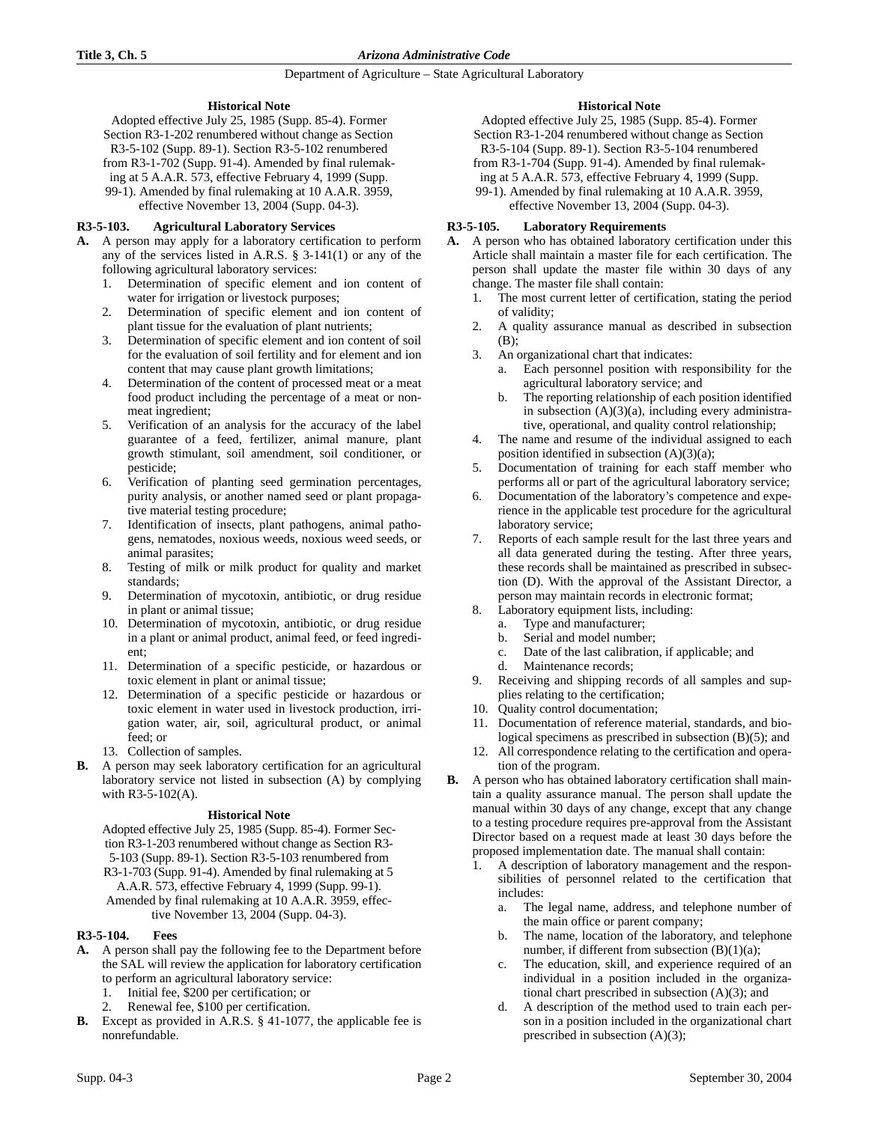### **Historical Note**

Adopted effective July 25, 1985 (Supp. 85-4). Former Section R3-1-202 renumbered without change as Section R3-5-102 (Supp. 89-1). Section R3-5-102 renumbered from R3-1-702 (Supp. 91-4). Amended by final rulemaking at 5 A.A.R. 573, effective February 4, 1999 (Supp. 99-1). Amended by final rulemaking at 10 A.A.R. 3959, effective November 13, 2004 (Supp. 04-3).

# **R3-5-103. Agricultural Laboratory Services**

- **A.** A person may apply for a laboratory certification to perform any of the services listed in A.R.S. § 3-141(1) or any of the following agricultural laboratory services:
	- 1. Determination of specific element and ion content of water for irrigation or livestock purposes;
	- 2. Determination of specific element and ion content of plant tissue for the evaluation of plant nutrients;
	- 3. Determination of specific element and ion content of soil for the evaluation of soil fertility and for element and ion content that may cause plant growth limitations;
	- 4. Determination of the content of processed meat or a meat food product including the percentage of a meat or nonmeat ingredient;
	- 5. Verification of an analysis for the accuracy of the label guarantee of a feed, fertilizer, animal manure, plant growth stimulant, soil amendment, soil conditioner, or pesticide;
	- 6. Verification of planting seed germination percentages, purity analysis, or another named seed or plant propagative material testing procedure;
	- 7. Identification of insects, plant pathogens, animal pathogens, nematodes, noxious weeds, noxious weed seeds, or animal parasites;
	- 8. Testing of milk or milk product for quality and market standards;
	- 9. Determination of mycotoxin, antibiotic, or drug residue in plant or animal tissue;
	- 10. Determination of mycotoxin, antibiotic, or drug residue in a plant or animal product, animal feed, or feed ingredient;
	- 11. Determination of a specific pesticide, or hazardous or toxic element in plant or animal tissue;
	- 12. Determination of a specific pesticide or hazardous or toxic element in water used in livestock production, irrigation water, air, soil, agricultural product, or animal feed; or
	- 13. Collection of samples.
- **B.** A person may seek laboratory certification for an agricultural laboratory service not listed in subsection (A) by complying with R3-5-102(A).

### **Historical Note**

Adopted effective July 25, 1985 (Supp. 85-4). Former Section R3-1-203 renumbered without change as Section R3- 5-103 (Supp. 89-1). Section R3-5-103 renumbered from R3-1-703 (Supp. 91-4). Amended by final rulemaking at 5 A.A.R. 573, effective February 4, 1999 (Supp. 99-1). Amended by final rulemaking at 10 A.A.R. 3959, effective November 13, 2004 (Supp. 04-3).

### **R3-5-104. Fees**

- **A.** A person shall pay the following fee to the Department before the SAL will review the application for laboratory certification to perform an agricultural laboratory service:
	- 1. Initial fee, \$200 per certification; or
	- Renewal fee, \$100 per certification.
- **B.** Except as provided in A.R.S. § 41-1077, the applicable fee is nonrefundable.

### **Historical Note**

Adopted effective July 25, 1985 (Supp. 85-4). Former Section R3-1-204 renumbered without change as Section R3-5-104 (Supp. 89-1). Section R3-5-104 renumbered from R3-1-704 (Supp. 91-4). Amended by final rulemaking at 5 A.A.R. 573, effective February 4, 1999 (Supp.

99-1). Amended by final rulemaking at 10 A.A.R. 3959, effective November 13, 2004 (Supp. 04-3).

### **R3-5-105. Laboratory Requirements**

- **A.** A person who has obtained laboratory certification under this Article shall maintain a master file for each certification. The person shall update the master file within 30 days of any change. The master file shall contain:
	- 1. The most current letter of certification, stating the period of validity;
	- 2. A quality assurance manual as described in subsection (B);
	- 3. An organizational chart that indicates:
		- a. Each personnel position with responsibility for the agricultural laboratory service; and
		- b. The reporting relationship of each position identified in subsection  $(A)(3)(a)$ , including every administrative, operational, and quality control relationship;
	- 4. The name and resume of the individual assigned to each position identified in subsection (A)(3)(a);
	- 5. Documentation of training for each staff member who performs all or part of the agricultural laboratory service;
	- 6. Documentation of the laboratory's competence and experience in the applicable test procedure for the agricultural laboratory service;
	- 7. Reports of each sample result for the last three years and all data generated during the testing. After three years, these records shall be maintained as prescribed in subsection (D). With the approval of the Assistant Director, a person may maintain records in electronic format;
		- Laboratory equipment lists, including:
		- a. Type and manufacturer;
		- b. Serial and model number;
		- c. Date of the last calibration, if applicable; and
		- d. Maintenance records;
	- 9. Receiving and shipping records of all samples and supplies relating to the certification;
	- 10. Quality control documentation;
	- 11. Documentation of reference material, standards, and biological specimens as prescribed in subsection (B)(5); and
	- 12. All correspondence relating to the certification and operation of the program.
- **B.** A person who has obtained laboratory certification shall maintain a quality assurance manual. The person shall update the manual within 30 days of any change, except that any change to a testing procedure requires pre-approval from the Assistant Director based on a request made at least 30 days before the proposed implementation date. The manual shall contain:
	- 1. A description of laboratory management and the responsibilities of personnel related to the certification that includes:
		- a. The legal name, address, and telephone number of the main office or parent company;
		- b. The name, location of the laboratory, and telephone number, if different from subsection (B)(1)(a);
		- c. The education, skill, and experience required of an individual in a position included in the organizational chart prescribed in subsection (A)(3); and
		- d. A description of the method used to train each person in a position included in the organizational chart prescribed in subsection (A)(3);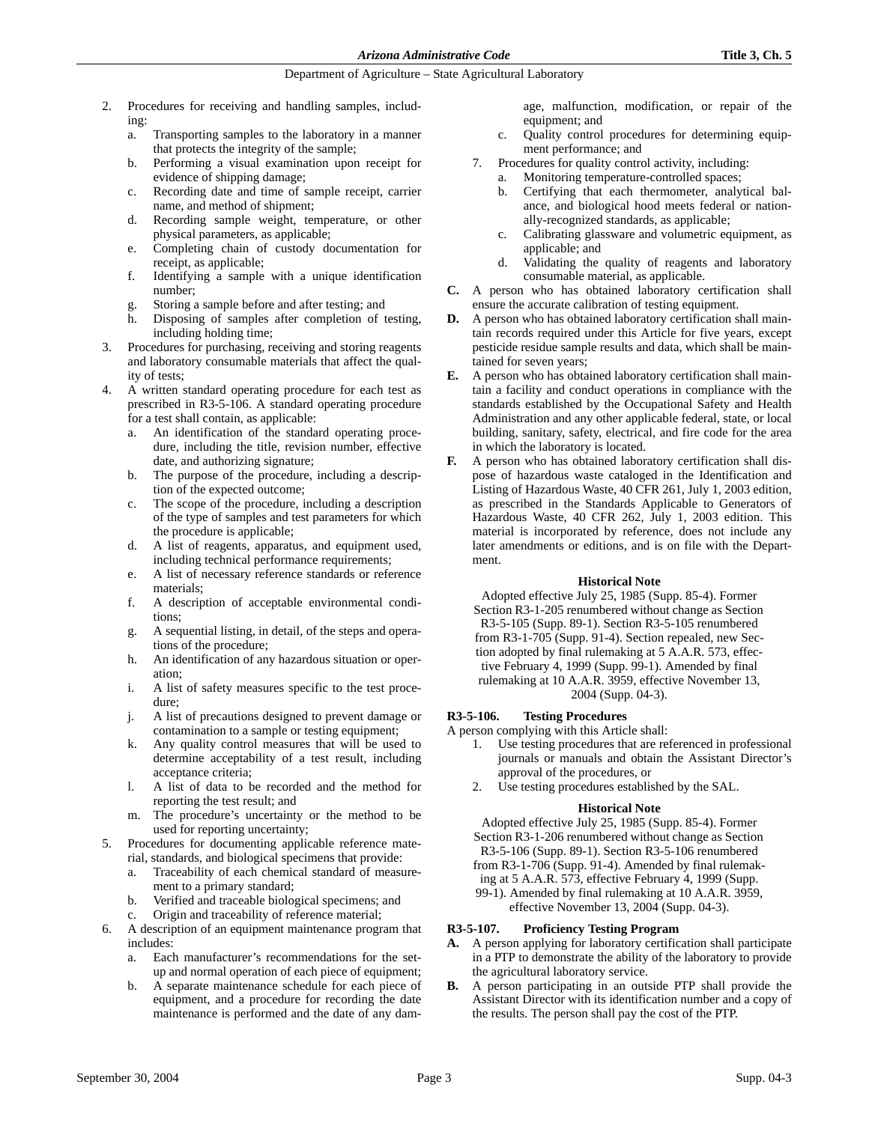- 2. Procedures for receiving and handling samples, including:
	- a. Transporting samples to the laboratory in a manner that protects the integrity of the sample;
	- b. Performing a visual examination upon receipt for evidence of shipping damage;
	- c. Recording date and time of sample receipt, carrier name, and method of shipment;
	- d. Recording sample weight, temperature, or other physical parameters, as applicable;
	- e. Completing chain of custody documentation for receipt, as applicable;
	- f. Identifying a sample with a unique identification number;
	- Storing a sample before and after testing; and
	- h. Disposing of samples after completion of testing, including holding time;
- 3. Procedures for purchasing, receiving and storing reagents and laboratory consumable materials that affect the quality of tests;
- 4. A written standard operating procedure for each test as prescribed in R3-5-106. A standard operating procedure for a test shall contain, as applicable:
	- a. An identification of the standard operating procedure, including the title, revision number, effective date, and authorizing signature;
	- b. The purpose of the procedure, including a description of the expected outcome;
	- c. The scope of the procedure, including a description of the type of samples and test parameters for which the procedure is applicable;
	- d. A list of reagents, apparatus, and equipment used, including technical performance requirements;
	- e. A list of necessary reference standards or reference materials;
	- f. A description of acceptable environmental conditions;
	- g. A sequential listing, in detail, of the steps and operations of the procedure;
	- h. An identification of any hazardous situation or operation;
	- i. A list of safety measures specific to the test procedure;
	- j. A list of precautions designed to prevent damage or contamination to a sample or testing equipment;
	- k. Any quality control measures that will be used to determine acceptability of a test result, including acceptance criteria;
	- l. A list of data to be recorded and the method for reporting the test result; and
	- m. The procedure's uncertainty or the method to be used for reporting uncertainty;
- 5. Procedures for documenting applicable reference material, standards, and biological specimens that provide:
	- a. Traceability of each chemical standard of measurement to a primary standard;
	- b. Verified and traceable biological specimens; and c. Origin and traceability of reference material;
- 6. A description of an equipment maintenance program that includes:
	- a. Each manufacturer's recommendations for the setup and normal operation of each piece of equipment;
	- b. A separate maintenance schedule for each piece of equipment, and a procedure for recording the date maintenance is performed and the date of any dam-

age, malfunction, modification, or repair of the equipment; and

- c. Quality control procedures for determining equipment performance; and
- 7. Procedures for quality control activity, including:
	- Monitoring temperature-controlled spaces;
	- b. Certifying that each thermometer, analytical balance, and biological hood meets federal or nationally-recognized standards, as applicable;
	- c. Calibrating glassware and volumetric equipment, as applicable; and
	- d. Validating the quality of reagents and laboratory consumable material, as applicable.
- **C.** A person who has obtained laboratory certification shall ensure the accurate calibration of testing equipment.
- **D.** A person who has obtained laboratory certification shall maintain records required under this Article for five years, except pesticide residue sample results and data, which shall be maintained for seven years;
- **E.** A person who has obtained laboratory certification shall maintain a facility and conduct operations in compliance with the standards established by the Occupational Safety and Health Administration and any other applicable federal, state, or local building, sanitary, safety, electrical, and fire code for the area in which the laboratory is located.
- **F.** A person who has obtained laboratory certification shall dispose of hazardous waste cataloged in the Identification and Listing of Hazardous Waste, 40 CFR 261, July 1, 2003 edition, as prescribed in the Standards Applicable to Generators of Hazardous Waste, 40 CFR 262, July 1, 2003 edition. This material is incorporated by reference, does not include any later amendments or editions, and is on file with the Department.

### **Historical Note**

Adopted effective July 25, 1985 (Supp. 85-4). Former Section R3-1-205 renumbered without change as Section R3-5-105 (Supp. 89-1). Section R3-5-105 renumbered from R3-1-705 (Supp. 91-4). Section repealed, new Section adopted by final rulemaking at 5 A.A.R. 573, effective February 4, 1999 (Supp. 99-1). Amended by final rulemaking at 10 A.A.R. 3959, effective November 13, 2004 (Supp. 04-3).

### **R3-5-106. Testing Procedures**

A person complying with this Article shall:

- 1. Use testing procedures that are referenced in professional journals or manuals and obtain the Assistant Director's approval of the procedures, or
- 2. Use testing procedures established by the SAL.

### **Historical Note**

Adopted effective July 25, 1985 (Supp. 85-4). Former Section R3-1-206 renumbered without change as Section R3-5-106 (Supp. 89-1). Section R3-5-106 renumbered from R3-1-706 (Supp. 91-4). Amended by final rulemaking at 5 A.A.R. 573, effective February 4, 1999 (Supp. 99-1). Amended by final rulemaking at 10 A.A.R. 3959, effective November 13, 2004 (Supp. 04-3).

### **R3-5-107. Proficiency Testing Program**

- **A.** A person applying for laboratory certification shall participate in a PTP to demonstrate the ability of the laboratory to provide the agricultural laboratory service.
- **B.** A person participating in an outside PTP shall provide the Assistant Director with its identification number and a copy of the results. The person shall pay the cost of the PTP.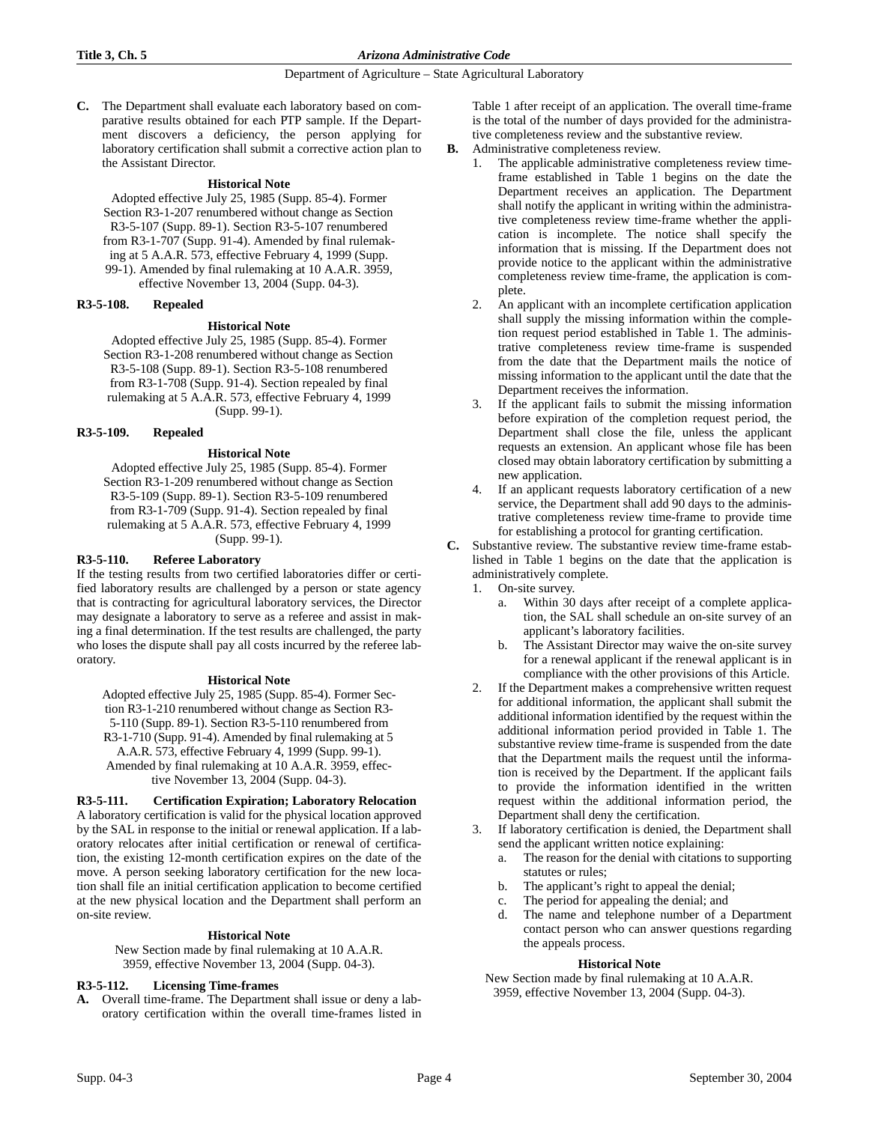**C.** The Department shall evaluate each laboratory based on comparative results obtained for each PTP sample. If the Department discovers a deficiency, the person applying for laboratory certification shall submit a corrective action plan to the Assistant Director.

#### **Historical Note**

Adopted effective July 25, 1985 (Supp. 85-4). Former Section R3-1-207 renumbered without change as Section R3-5-107 (Supp. 89-1). Section R3-5-107 renumbered from R3-1-707 (Supp. 91-4). Amended by final rulemaking at 5 A.A.R. 573, effective February 4, 1999 (Supp. 99-1). Amended by final rulemaking at 10 A.A.R. 3959, effective November 13, 2004 (Supp. 04-3).

### **R3-5-108. Repealed**

#### **Historical Note**

Adopted effective July 25, 1985 (Supp. 85-4). Former Section R3-1-208 renumbered without change as Section R3-5-108 (Supp. 89-1). Section R3-5-108 renumbered from R3-1-708 (Supp. 91-4). Section repealed by final rulemaking at 5 A.A.R. 573, effective February 4, 1999 (Supp. 99-1).

#### **R3-5-109. Repealed**

### **Historical Note**

Adopted effective July 25, 1985 (Supp. 85-4). Former Section R3-1-209 renumbered without change as Section R3-5-109 (Supp. 89-1). Section R3-5-109 renumbered from R3-1-709 (Supp. 91-4). Section repealed by final rulemaking at 5 A.A.R. 573, effective February 4, 1999 (Supp. 99-1).

#### **R3-5-110. Referee Laboratory**

If the testing results from two certified laboratories differ or certified laboratory results are challenged by a person or state agency that is contracting for agricultural laboratory services, the Director may designate a laboratory to serve as a referee and assist in making a final determination. If the test results are challenged, the party who loses the dispute shall pay all costs incurred by the referee laboratory.

#### **Historical Note**

Adopted effective July 25, 1985 (Supp. 85-4). Former Section R3-1-210 renumbered without change as Section R3- 5-110 (Supp. 89-1). Section R3-5-110 renumbered from R3-1-710 (Supp. 91-4). Amended by final rulemaking at 5 A.A.R. 573, effective February 4, 1999 (Supp. 99-1). Amended by final rulemaking at 10 A.A.R. 3959, effective November 13, 2004 (Supp. 04-3).

# **R3-5-111. Certification Expiration; Laboratory Relocation**

A laboratory certification is valid for the physical location approved by the SAL in response to the initial or renewal application. If a laboratory relocates after initial certification or renewal of certification, the existing 12-month certification expires on the date of the move. A person seeking laboratory certification for the new location shall file an initial certification application to become certified at the new physical location and the Department shall perform an on-site review.

#### **Historical Note**

New Section made by final rulemaking at 10 A.A.R. 3959, effective November 13, 2004 (Supp. 04-3).

### **R3-5-112. Licensing Time-frames**

**A.** Overall time-frame. The Department shall issue or deny a laboratory certification within the overall time-frames listed in Table 1 after receipt of an application. The overall time-frame is the total of the number of days provided for the administrative completeness review and the substantive review.

- **B.** Administrative completeness review.
	- 1. The applicable administrative completeness review timeframe established in Table 1 begins on the date the Department receives an application. The Department shall notify the applicant in writing within the administrative completeness review time-frame whether the application is incomplete. The notice shall specify the information that is missing. If the Department does not provide notice to the applicant within the administrative completeness review time-frame, the application is complete.
	- 2. An applicant with an incomplete certification application shall supply the missing information within the completion request period established in Table 1. The administrative completeness review time-frame is suspended from the date that the Department mails the notice of missing information to the applicant until the date that the Department receives the information.
	- 3. If the applicant fails to submit the missing information before expiration of the completion request period, the Department shall close the file, unless the applicant requests an extension. An applicant whose file has been closed may obtain laboratory certification by submitting a new application.
	- If an applicant requests laboratory certification of a new service, the Department shall add 90 days to the administrative completeness review time-frame to provide time for establishing a protocol for granting certification.

**C.** Substantive review. The substantive review time-frame established in Table 1 begins on the date that the application is administratively complete.

- 1. On-site survey.
	- a. Within 30 days after receipt of a complete application, the SAL shall schedule an on-site survey of an applicant's laboratory facilities.
	- b. The Assistant Director may waive the on-site survey for a renewal applicant if the renewal applicant is in compliance with the other provisions of this Article.
- 2. If the Department makes a comprehensive written request for additional information, the applicant shall submit the additional information identified by the request within the additional information period provided in Table 1. The substantive review time-frame is suspended from the date that the Department mails the request until the information is received by the Department. If the applicant fails to provide the information identified in the written request within the additional information period, the Department shall deny the certification.
- 3. If laboratory certification is denied, the Department shall send the applicant written notice explaining:
	- a. The reason for the denial with citations to supporting statutes or rules;
	- b. The applicant's right to appeal the denial;
	- c. The period for appealing the denial; and
	- d. The name and telephone number of a Department contact person who can answer questions regarding the appeals process.

### **Historical Note**

New Section made by final rulemaking at 10 A.A.R. 3959, effective November 13, 2004 (Supp. 04-3).